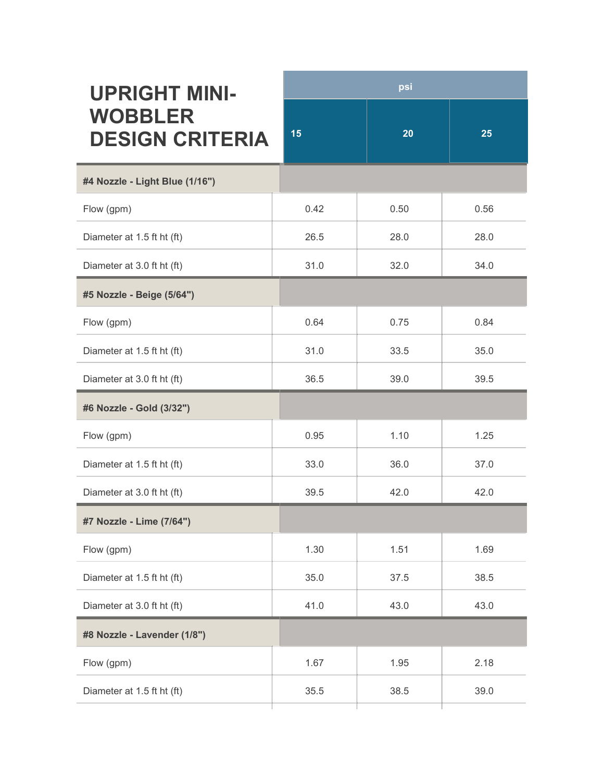| <b>UPRIGHT MINI-</b><br><b>WOBBLER</b><br><b>DESIGN CRITERIA</b> | psi  |      |      |
|------------------------------------------------------------------|------|------|------|
|                                                                  | 15   | 20   | 25   |
| #4 Nozzle - Light Blue (1/16")                                   |      |      |      |
| Flow (gpm)                                                       | 0.42 | 0.50 | 0.56 |
| Diameter at 1.5 ft ht (ft)                                       | 26.5 | 28.0 | 28.0 |
| Diameter at 3.0 ft ht (ft)                                       | 31.0 | 32.0 | 34.0 |
| #5 Nozzle - Beige (5/64")                                        |      |      |      |
| Flow (gpm)                                                       | 0.64 | 0.75 | 0.84 |
| Diameter at 1.5 ft ht (ft)                                       | 31.0 | 33.5 | 35.0 |
| Diameter at 3.0 ft ht (ft)                                       | 36.5 | 39.0 | 39.5 |
| #6 Nozzle - Gold (3/32")                                         |      |      |      |
| Flow (gpm)                                                       | 0.95 | 1.10 | 1.25 |
| Diameter at 1.5 ft ht (ft)                                       | 33.0 | 36.0 | 37.0 |
| Diameter at 3.0 ft ht (ft)                                       | 39.5 | 42.0 | 42.0 |
| #7 Nozzle - Lime (7/64")                                         |      |      |      |
| Flow (gpm)                                                       | 1.30 | 1.51 | 1.69 |
| Diameter at 1.5 ft ht (ft)                                       | 35.0 | 37.5 | 38.5 |
| Diameter at 3.0 ft ht (ft)                                       | 41.0 | 43.0 | 43.0 |
| #8 Nozzle - Lavender (1/8")                                      |      |      |      |
| Flow (gpm)                                                       | 1.67 | 1.95 | 2.18 |
| Diameter at 1.5 ft ht (ft)                                       | 35.5 | 38.5 | 39.0 |